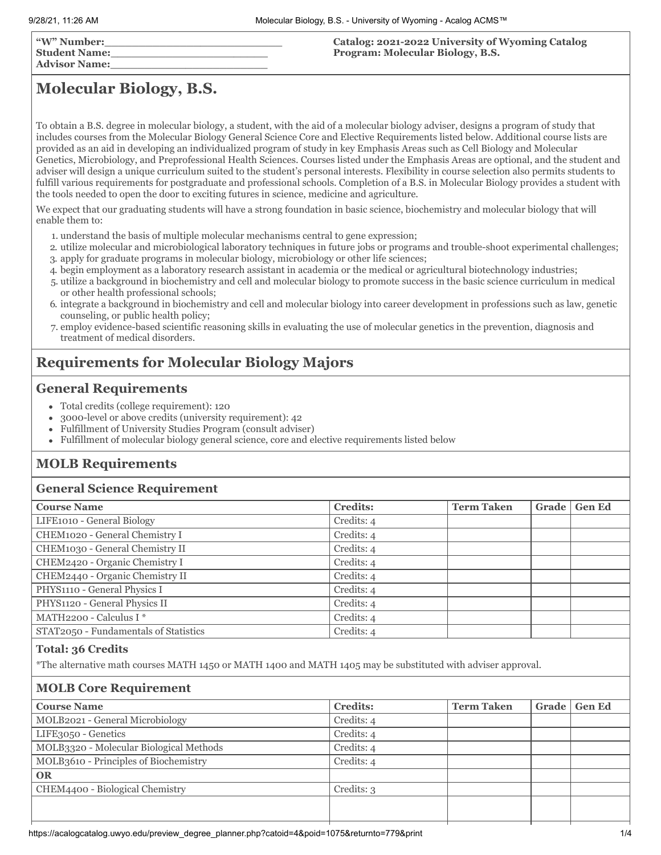| "W" Number:<br>  Student Name:<br>  Advisor Name: | Catalog: 2021-2022 University of Wyoming Catalog<br>Program: Molecular Biology, B.S. |
|---------------------------------------------------|--------------------------------------------------------------------------------------|
|                                                   |                                                                                      |

# **Molecular Biology, B.S.**

To obtain a B.S. degree in molecular biology, a student, with the aid of a molecular biology adviser, designs a program of study that includes courses from the Molecular Biology General Science Core and Elective Requirements listed below. Additional course lists are provided as an aid in developing an individualized program of study in key Emphasis Areas such as Cell Biology and Molecular Genetics, Microbiology, and Preprofessional Health Sciences. Courses listed under the Emphasis Areas are optional, and the student and adviser will design a unique curriculum suited to the student's personal interests. Flexibility in course selection also permits students to fulfill various requirements for postgraduate and professional schools. Completion of a B.S. in Molecular Biology provides a student with the tools needed to open the door to exciting futures in science, medicine and agriculture.

We expect that our graduating students will have a strong foundation in basic science, biochemistry and molecular biology that will enable them to:

- 1. understand the basis of multiple molecular mechanisms central to gene expression;
- 2. utilize molecular and microbiological laboratory techniques in future jobs or programs and trouble-shoot experimental challenges; 3. apply for graduate programs in molecular biology, microbiology or other life sciences;
- 4. begin employment as a laboratory research assistant in academia or the medical or agricultural biotechnology industries;
- 5. utilize a background in biochemistry and cell and molecular biology to promote success in the basic science curriculum in medical or other health professional schools;
- 6. integrate a background in biochemistry and cell and molecular biology into career development in professions such as law, genetic counseling, or public health policy;
- 7. employ evidence-based scientific reasoning skills in evaluating the use of molecular genetics in the prevention, diagnosis and treatment of medical disorders.

# **Requirements for Molecular Biology Majors**

# **General Requirements**

- Total credits (college requirement): 120
- 3000-level or above credits (university requirement): 42  $\bullet$
- Fulfillment of University Studies Program (consult adviser)
- Fulfillment of molecular biology general science, core and elective requirements listed below

# **MOLB Requirements**

# **General Science Requirement**

| <b>Credits:</b> | <b>Term Taken</b> | <b>Gen Ed</b> |
|-----------------|-------------------|---------------|
| Credits: 4      |                   |               |
| Credits: 4      |                   |               |
| Credits: 4      |                   |               |
| Credits: 4      |                   |               |
| Credits: 4      |                   |               |
| Credits: 4      |                   |               |
| Credits: 4      |                   |               |
| Credits: 4      |                   |               |
| Credits: 4      |                   |               |
|                 |                   | Grade         |

### **Total: 36 Credits**

\*The alternative math courses MATH 1450 or MATH 1400 and MATH 1405 may be substituted with adviser approval.

# **MOLB Core Requirement**

| <b>Course Name</b>                      | <b>Credits:</b> | <b>Term Taken</b> | Grade   Gen Ed |
|-----------------------------------------|-----------------|-------------------|----------------|
| MOLB2021 - General Microbiology         | Credits: 4      |                   |                |
| LIFE3050 - Genetics                     | Credits: 4      |                   |                |
| MOLB3320 - Molecular Biological Methods | Credits: 4      |                   |                |
| MOLB3610 - Principles of Biochemistry   | Credits: 4      |                   |                |
| <b>OR</b>                               |                 |                   |                |
| CHEM4400 - Biological Chemistry         | Credits: 3      |                   |                |
|                                         |                 |                   |                |
|                                         |                 |                   |                |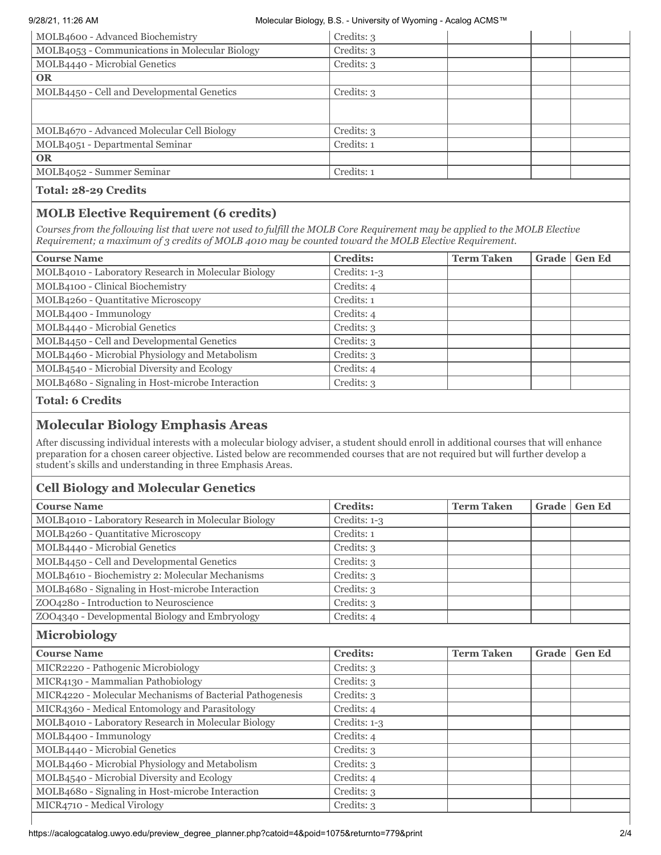#### 9/28/21, 11:26 AM Molecular Biology, B.S. - University of Wyoming - Acalog ACMS™

| MOLB4600 - Advanced Biochemistry               | Credits: 3 |
|------------------------------------------------|------------|
| MOLB4053 - Communications in Molecular Biology | Credits: 3 |
| MOLB4440 - Microbial Genetics                  | Credits: 3 |
| <b>OR</b>                                      |            |
| MOLB4450 - Cell and Developmental Genetics     | Credits: 3 |
|                                                |            |
|                                                |            |
| MOLB4670 - Advanced Molecular Cell Biology     | Credits: 3 |
| MOLB4051 - Departmental Seminar                | Credits: 1 |
| <b>OR</b>                                      |            |
| MOLB4052 - Summer Seminar                      | Credits: 1 |
| <b>Total: 28-29 Credits</b>                    |            |

# **MOLB Elective Requirement (6 credits)**

*Courses from the following list that were not used to fulfill the MOLB Core Requirement may be applied to the MOLB Elective Requirement; a maximum of 3 credits of MOLB 4010 may be counted toward the MOLB Elective Requirement.*

| <b>Course Name</b>                                  | <b>Credits:</b> | <b>Term Taken</b> | Grade | <b>Gen Ed</b> |
|-----------------------------------------------------|-----------------|-------------------|-------|---------------|
| MOLB4010 - Laboratory Research in Molecular Biology | Credits: $1-3$  |                   |       |               |
| MOLB4100 - Clinical Biochemistry                    | Credits: 4      |                   |       |               |
| MOLB4260 - Quantitative Microscopy                  | Credits: 1      |                   |       |               |
| MOLB4400 - Immunology                               | Credits: 4      |                   |       |               |
| MOLB4440 - Microbial Genetics                       | Credits: 3      |                   |       |               |
| MOLB4450 - Cell and Developmental Genetics          | Credits: 3      |                   |       |               |
| MOLB4460 - Microbial Physiology and Metabolism      | Credits: 3      |                   |       |               |
| MOLB4540 - Microbial Diversity and Ecology          | Credits: 4      |                   |       |               |
| MOLB4680 - Signaling in Host-microbe Interaction    | Credits: 3      |                   |       |               |

**Total: 6 Credits**

# **Molecular Biology Emphasis Areas**

After discussing individual interests with a molecular biology adviser, a student should enroll in additional courses that will enhance preparation for a chosen career objective. Listed below are recommended courses that are not required but will further develop a student's skills and understanding in three Emphasis Areas.

# **Cell Biology and Molecular Genetics**

| <b>Course Name</b>                                        | <b>Credits:</b> | <b>Term Taken</b> | Grade | <b>Gen Ed</b> |
|-----------------------------------------------------------|-----------------|-------------------|-------|---------------|
| MOLB4010 - Laboratory Research in Molecular Biology       | Credits: 1-3    |                   |       |               |
| MOLB4260 - Quantitative Microscopy                        | Credits: 1      |                   |       |               |
| MOLB4440 - Microbial Genetics                             | Credits: 3      |                   |       |               |
| MOLB4450 - Cell and Developmental Genetics                | Credits: 3      |                   |       |               |
| MOLB4610 - Biochemistry 2: Molecular Mechanisms           | Credits: 3      |                   |       |               |
| MOLB4680 - Signaling in Host-microbe Interaction          | Credits: 3      |                   |       |               |
| ZOO4280 - Introduction to Neuroscience                    | Credits: 3      |                   |       |               |
| ZOO4340 - Developmental Biology and Embryology            | Credits: 4      |                   |       |               |
| <b>Microbiology</b>                                       |                 |                   |       |               |
| <b>Course Name</b>                                        | <b>Credits:</b> | <b>Term Taken</b> | Grade | <b>Gen Ed</b> |
| MICR2220 - Pathogenic Microbiology                        | Credits: 3      |                   |       |               |
| MICR4130 - Mammalian Pathobiology                         | Credits: 3      |                   |       |               |
| MICR4220 - Molecular Mechanisms of Bacterial Pathogenesis | Credits: 3      |                   |       |               |
| MICR4360 - Medical Entomology and Parasitology            | Credits: 4      |                   |       |               |
| MOLB4010 - Laboratory Research in Molecular Biology       | Credits: 1-3    |                   |       |               |
| MOLB4400 - Immunology                                     | Credits: 4      |                   |       |               |
| MOLB4440 - Microbial Genetics                             | Credits: 3      |                   |       |               |
| MOLB4460 - Microbial Physiology and Metabolism            | Credits: 3      |                   |       |               |
| MOLB4540 - Microbial Diversity and Ecology                | Credits: 4      |                   |       |               |
| MOLB4680 - Signaling in Host-microbe Interaction          | Credits: 3      |                   |       |               |
| MICR4710 - Medical Virology                               | Credits: 3      |                   |       |               |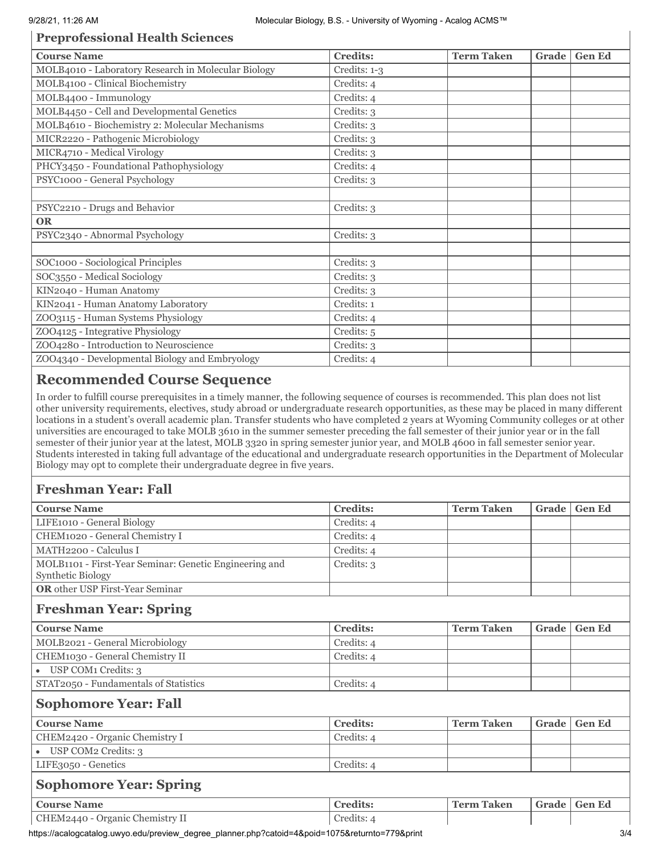# **Preprofessional Health Sciences**

| <b>Credits:</b> | <b>Term Taken</b> | Grade | <b>Gen Ed</b> |
|-----------------|-------------------|-------|---------------|
| Credits: 1-3    |                   |       |               |
| Credits: 4      |                   |       |               |
| Credits: 4      |                   |       |               |
| Credits: 3      |                   |       |               |
| Credits: 3      |                   |       |               |
| Credits: 3      |                   |       |               |
| Credits: 3      |                   |       |               |
| Credits: 4      |                   |       |               |
| Credits: 3      |                   |       |               |
|                 |                   |       |               |
| Credits: 3      |                   |       |               |
|                 |                   |       |               |
| Credits: 3      |                   |       |               |
|                 |                   |       |               |
| Credits: 3      |                   |       |               |
| Credits: 3      |                   |       |               |
| Credits: 3      |                   |       |               |
| Credits: 1      |                   |       |               |
| Credits: 4      |                   |       |               |
| Credits: 5      |                   |       |               |
| Credits: 3      |                   |       |               |
| Credits: 4      |                   |       |               |
|                 |                   |       |               |

# **Recommended Course Sequence**

In order to fulfill course prerequisites in a timely manner, the following sequence of courses is recommended. This plan does not list other university requirements, electives, study abroad or undergraduate research opportunities, as these may be placed in many different locations in a student's overall academic plan. Transfer students who have completed 2 years at Wyoming Community colleges or at other universities are encouraged to take MOLB 3610 in the summer semester preceding the fall semester of their junior year or in the fall semester of their junior year at the latest, MOLB 3320 in spring semester junior year, and MOLB 4600 in fall semester senior year. Students interested in taking full advantage of the educational and undergraduate research opportunities in the Department of Molecular Biology may opt to complete their undergraduate degree in five years.

# **Freshman Year: Fall**

| <b>Course Name</b>                                                          | <b>Credits:</b> | <b>Term Taken</b> | Grade | <b>Gen Ed</b> |
|-----------------------------------------------------------------------------|-----------------|-------------------|-------|---------------|
| LIFE1010 - General Biology                                                  | Credits: 4      |                   |       |               |
| CHEM1020 - General Chemistry I                                              | Credits: 4      |                   |       |               |
| MATH2200 - Calculus I                                                       | Credits: 4      |                   |       |               |
| MOLB1101 - First-Year Seminar: Genetic Engineering and<br>Synthetic Biology | Credits: 3      |                   |       |               |
| <b>OR</b> other USP First-Year Seminar                                      |                 |                   |       |               |
| <b>Freshman Year: Spring</b>                                                |                 |                   |       |               |
| <b>Course Name</b>                                                          | <b>Credits:</b> | <b>Term Taken</b> | Grade | <b>Gen Ed</b> |
| MOLB2021 - General Microbiology                                             | Credits: 4      |                   |       |               |
| CHEM1030 - General Chemistry II                                             | Credits: 4      |                   |       |               |
| • USP COM1 Credits: 3                                                       |                 |                   |       |               |
| STAT2050 - Fundamentals of Statistics                                       | Credits: 4      |                   |       |               |
| <b>Sophomore Year: Fall</b>                                                 |                 |                   |       |               |
| <b>Course Name</b>                                                          | <b>Credits:</b> | <b>Term Taken</b> | Grade | <b>Gen Ed</b> |
| CHEM2420 - Organic Chemistry I                                              | Credits: 4      |                   |       |               |
| • USP COM2 Credits: 3                                                       |                 |                   |       |               |
| LIFE3050 - Genetics                                                         | Credits: 4      |                   |       |               |
| <b>Sophomore Year: Spring</b>                                               |                 |                   |       |               |
| <b>Course Name</b>                                                          | <b>Credits:</b> | <b>Term Taken</b> | Grade | <b>Gen Ed</b> |
| CHEM2440 - Organic Chemistry II                                             | Credits: 4      |                   |       |               |

https://acalogcatalog.uwyo.edu/preview\_degree\_planner.php?catoid=4&poid=1075&returnto=779&print 3/4